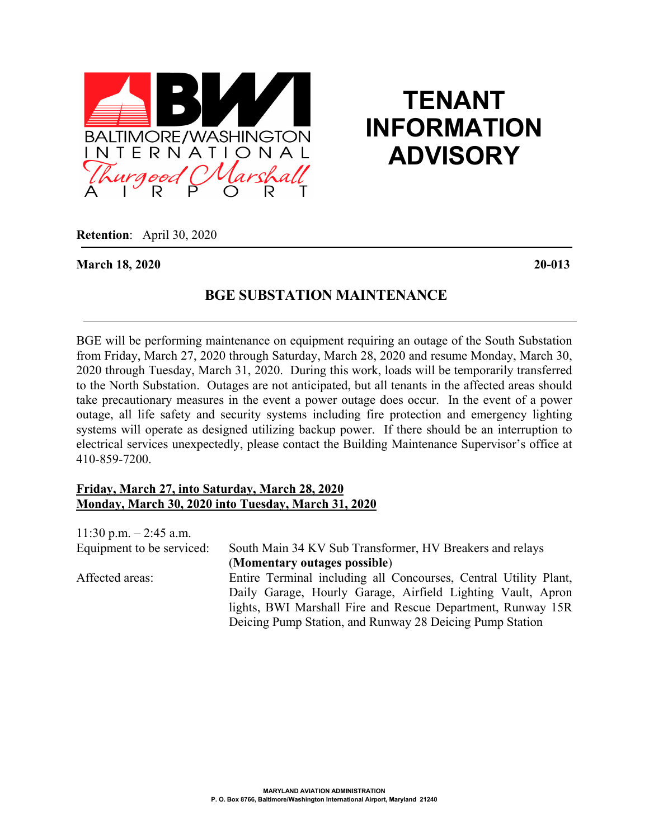

## **TENANT INFORMATION ADVISORY**

**Retention**: April 30, 2020

**March 18, 2020 20-013**

## **BGE SUBSTATION MAINTENANCE**

BGE will be performing maintenance on equipment requiring an outage of the South Substation from Friday, March 27, 2020 through Saturday, March 28, 2020 and resume Monday, March 30, 2020 through Tuesday, March 31, 2020. During this work, loads will be temporarily transferred to the North Substation. Outages are not anticipated, but all tenants in the affected areas should take precautionary measures in the event a power outage does occur. In the event of a power outage, all life safety and security systems including fire protection and emergency lighting systems will operate as designed utilizing backup power. If there should be an interruption to electrical services unexpectedly, please contact the Building Maintenance Supervisor's office at 410-859-7200.

## **Friday, March 27, into Saturday, March 28, 2020 Monday, March 30, 2020 into Tuesday, March 31, 2020**

| 11:30 p.m. $-2:45$ a.m.   |                                                                  |
|---------------------------|------------------------------------------------------------------|
| Equipment to be serviced: | South Main 34 KV Sub Transformer, HV Breakers and relays         |
|                           | (Momentary outages possible)                                     |
| Affected areas:           | Entire Terminal including all Concourses, Central Utility Plant, |
|                           | Daily Garage, Hourly Garage, Airfield Lighting Vault, Apron      |
|                           | lights, BWI Marshall Fire and Rescue Department, Runway 15R      |
|                           | Deicing Pump Station, and Runway 28 Deicing Pump Station         |